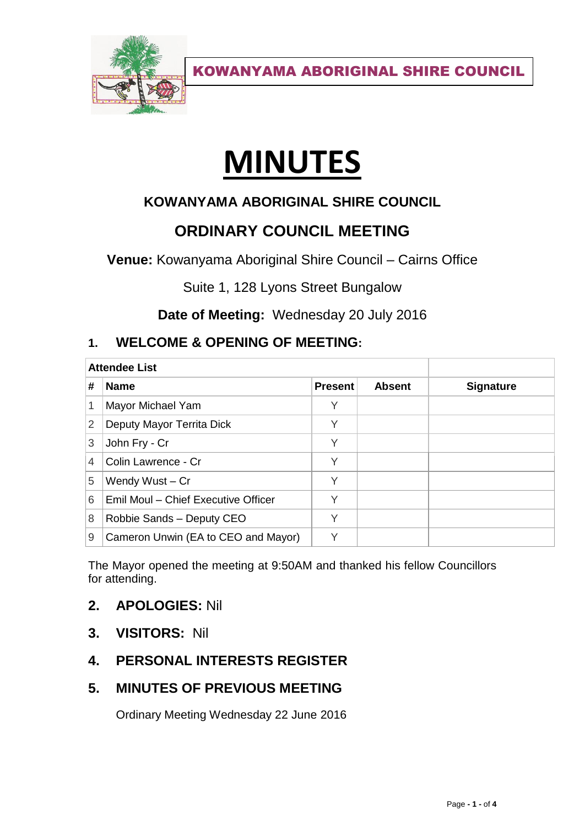

# **MINUTES**

# **KOWANYAMA ABORIGINAL SHIRE COUNCIL**

# **ORDINARY COUNCIL MEETING**

**Venue:** Kowanyama Aboriginal Shire Council – Cairns Office

Suite 1, 128 Lyons Street Bungalow

**Date of Meeting:** Wednesday 20 July 2016

# **1. WELCOME & OPENING OF MEETING:**

| <b>Attendee List</b> |                                     |                |               |                  |
|----------------------|-------------------------------------|----------------|---------------|------------------|
| #                    | <b>Name</b>                         | <b>Present</b> | <b>Absent</b> | <b>Signature</b> |
|                      | Mayor Michael Yam                   | Υ              |               |                  |
| 2                    | Deputy Mayor Territa Dick           | Υ              |               |                  |
| 3                    | John Fry - Cr                       | Υ              |               |                  |
| 4                    | Colin Lawrence - Cr                 | Υ              |               |                  |
| 5                    | Wendy Wust - Cr                     | Υ              |               |                  |
| 6                    | Emil Moul - Chief Executive Officer | Υ              |               |                  |
| 8                    | Robbie Sands - Deputy CEO           | Υ              |               |                  |
| 9                    | Cameron Unwin (EA to CEO and Mayor) | $\checkmark$   |               |                  |

The Mayor opened the meeting at 9:50AM and thanked his fellow Councillors for attending.

## **2. APOLOGIES:** Nil

**3. VISITORS:** Nil

# **4. PERSONAL INTERESTS REGISTER**

# **5. MINUTES OF PREVIOUS MEETING**

Ordinary Meeting Wednesday 22 June 2016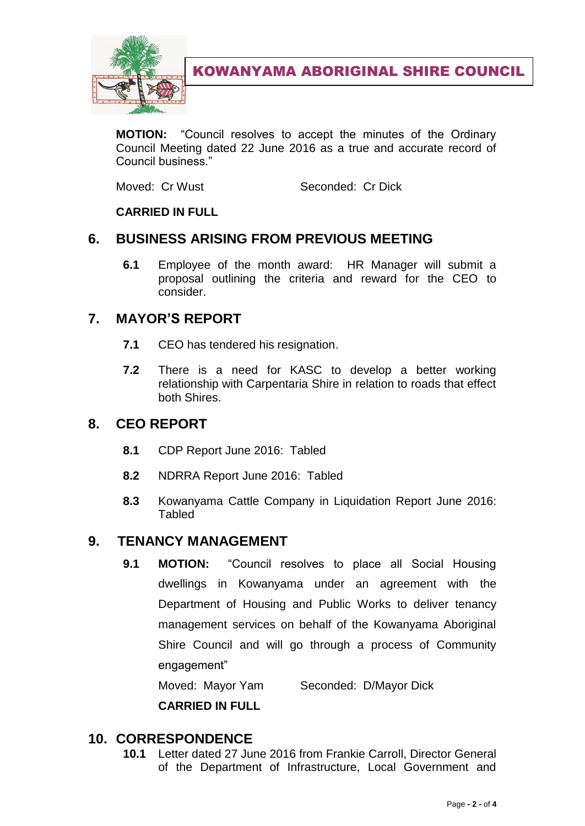

**MOTION:** "Council resolves to accept the minutes of the Ordinary Council Meeting dated 22 June 2016 as a true and accurate record of Council business."

Moved: Cr Wust Seconded: Cr Dick

#### **CARRIED IN FULL**

## **6. BUSINESS ARISING FROM PREVIOUS MEETING**

**6.1** Employee of the month award: HR Manager will submit a proposal outlining the criteria and reward for the CEO to consider.

## **7. MAYOR'S REPORT**

- **7.1** CEO has tendered his resignation.
- **7.2** There is a need for KASC to develop a better working relationship with Carpentaria Shire in relation to roads that effect both Shires.

#### **8. CEO REPORT**

- **8.1** CDP Report June 2016: Tabled
- **8.2** NDRRA Report June 2016: Tabled
- **8.3** Kowanyama Cattle Company in Liquidation Report June 2016: **Tabled**

#### **9. TENANCY MANAGEMENT**

**9.1 MOTION:** "Council resolves to place all Social Housing dwellings in Kowanyama under an agreement with the Department of Housing and Public Works to deliver tenancy management services on behalf of the Kowanyama Aboriginal Shire Council and will go through a process of Community engagement"

Moved: Mayor Yam Seconded: D/Mayor Dick

**CARRIED IN FULL**

#### **10. CORRESPONDENCE**

**10.1** Letter dated 27 June 2016 from Frankie Carroll, Director General of the Department of Infrastructure, Local Government and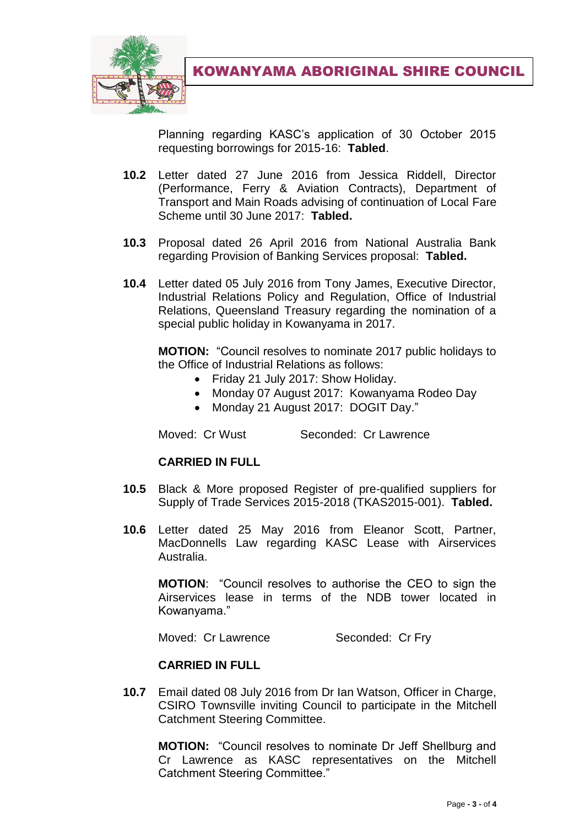

Planning regarding KASC's application of 30 October 2015 requesting borrowings for 2015-16: **Tabled**.

- **10.2** Letter dated 27 June 2016 from Jessica Riddell, Director (Performance, Ferry & Aviation Contracts), Department of Transport and Main Roads advising of continuation of Local Fare Scheme until 30 June 2017: **Tabled.**
- **10.3** Proposal dated 26 April 2016 from National Australia Bank regarding Provision of Banking Services proposal: **Tabled.**
- **10.4** Letter dated 05 July 2016 from Tony James, Executive Director, Industrial Relations Policy and Regulation, Office of Industrial Relations, Queensland Treasury regarding the nomination of a special public holiday in Kowanyama in 2017.

**MOTION:** "Council resolves to nominate 2017 public holidays to the Office of Industrial Relations as follows:

- Friday 21 July 2017: Show Holiday.
- Monday 07 August 2017: Kowanyama Rodeo Day
- Monday 21 August 2017: DOGIT Day."

Moved: Cr Wust Seconded: Cr Lawrence

#### **CARRIED IN FULL**

- **10.5** Black & More proposed Register of pre-qualified suppliers for Supply of Trade Services 2015-2018 (TKAS2015-001). **Tabled.**
- **10.6** Letter dated 25 May 2016 from Eleanor Scott, Partner, MacDonnells Law regarding KASC Lease with Airservices Australia.

**MOTION**: "Council resolves to authorise the CEO to sign the Airservices lease in terms of the NDB tower located in Kowanyama."

Moved: Cr Lawrence Seconded: Cr Fry

#### **CARRIED IN FULL**

**10.7** Email dated 08 July 2016 from Dr Ian Watson, Officer in Charge, CSIRO Townsville inviting Council to participate in the Mitchell Catchment Steering Committee.

**MOTION:** "Council resolves to nominate Dr Jeff Shellburg and Cr Lawrence as KASC representatives on the Mitchell Catchment Steering Committee."